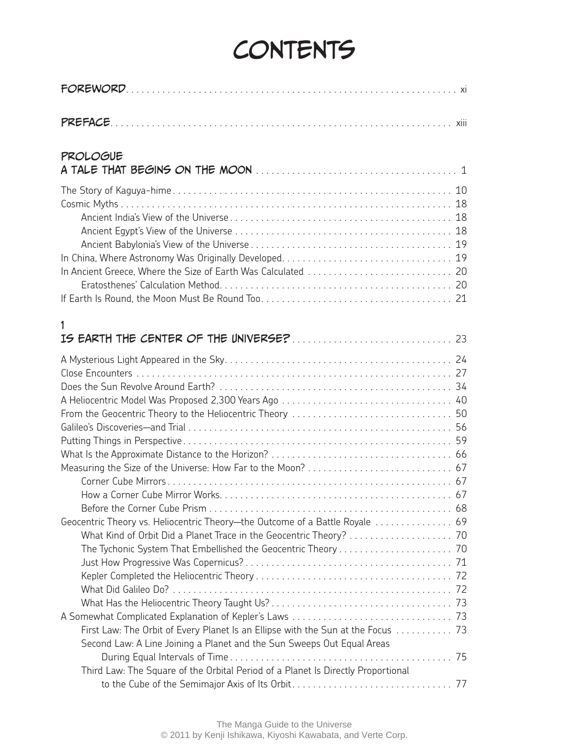## **CONTENTS**

| PROLOGUE                                                                                                                                                   |  |
|------------------------------------------------------------------------------------------------------------------------------------------------------------|--|
|                                                                                                                                                            |  |
| 1                                                                                                                                                          |  |
|                                                                                                                                                            |  |
| Geocentric Theory vs. Heliocentric Theory-the Outcome of a Battle Royale  69                                                                               |  |
| First Law: The Orbit of Every Planet Is an Ellipse with the Sun at the Focus  73<br>Second Law: A Line Joining a Planet and the Sun Sweeps Out Equal Areas |  |
| Third Law: The Square of the Orbital Period of a Planet Is Directly Proportional                                                                           |  |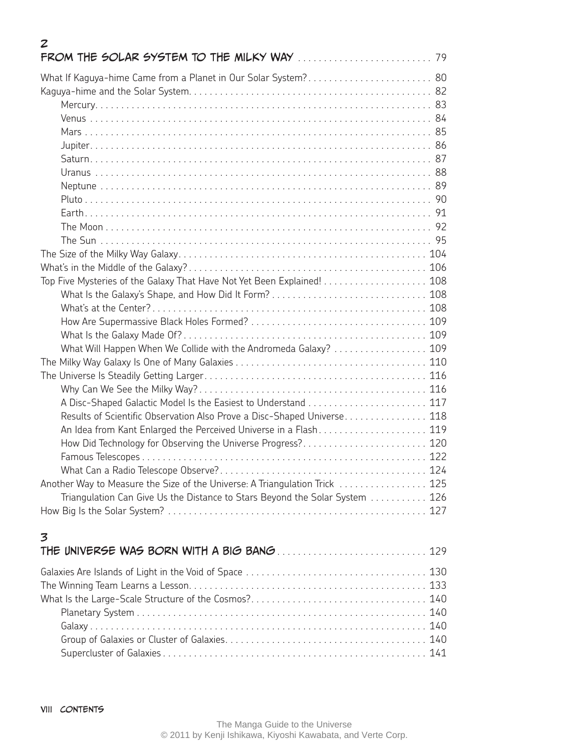| What If Kaguya-hime Came from a Planet in Our Solar System? 80<br>Top Five Mysteries of the Galaxy That Have Not Yet Been Explained! 108<br>What Will Happen When We Collide with the Andromeda Galaxy?  109<br>Results of Scientific Observation Also Prove a Disc-Shaped Universe 118<br>An Idea from Kant Enlarged the Perceived Universe in a Flash 119<br>How Did Technology for Observing the Universe Progress? 120<br>Another Way to Measure the Size of the Universe: A Triangulation Trick  125<br>Triangulation Can Give Us the Distance to Stars Beyond the Solar System  126<br>3 | $\boldsymbol{z}$ |  |
|------------------------------------------------------------------------------------------------------------------------------------------------------------------------------------------------------------------------------------------------------------------------------------------------------------------------------------------------------------------------------------------------------------------------------------------------------------------------------------------------------------------------------------------------------------------------------------------------|------------------|--|
|                                                                                                                                                                                                                                                                                                                                                                                                                                                                                                                                                                                                |                  |  |
|                                                                                                                                                                                                                                                                                                                                                                                                                                                                                                                                                                                                |                  |  |
|                                                                                                                                                                                                                                                                                                                                                                                                                                                                                                                                                                                                |                  |  |
|                                                                                                                                                                                                                                                                                                                                                                                                                                                                                                                                                                                                |                  |  |
|                                                                                                                                                                                                                                                                                                                                                                                                                                                                                                                                                                                                |                  |  |
|                                                                                                                                                                                                                                                                                                                                                                                                                                                                                                                                                                                                |                  |  |
|                                                                                                                                                                                                                                                                                                                                                                                                                                                                                                                                                                                                |                  |  |
|                                                                                                                                                                                                                                                                                                                                                                                                                                                                                                                                                                                                |                  |  |
|                                                                                                                                                                                                                                                                                                                                                                                                                                                                                                                                                                                                |                  |  |
|                                                                                                                                                                                                                                                                                                                                                                                                                                                                                                                                                                                                |                  |  |
|                                                                                                                                                                                                                                                                                                                                                                                                                                                                                                                                                                                                |                  |  |
|                                                                                                                                                                                                                                                                                                                                                                                                                                                                                                                                                                                                |                  |  |
|                                                                                                                                                                                                                                                                                                                                                                                                                                                                                                                                                                                                |                  |  |
|                                                                                                                                                                                                                                                                                                                                                                                                                                                                                                                                                                                                |                  |  |
|                                                                                                                                                                                                                                                                                                                                                                                                                                                                                                                                                                                                |                  |  |
|                                                                                                                                                                                                                                                                                                                                                                                                                                                                                                                                                                                                |                  |  |
|                                                                                                                                                                                                                                                                                                                                                                                                                                                                                                                                                                                                |                  |  |
|                                                                                                                                                                                                                                                                                                                                                                                                                                                                                                                                                                                                |                  |  |
|                                                                                                                                                                                                                                                                                                                                                                                                                                                                                                                                                                                                |                  |  |
|                                                                                                                                                                                                                                                                                                                                                                                                                                                                                                                                                                                                |                  |  |
|                                                                                                                                                                                                                                                                                                                                                                                                                                                                                                                                                                                                |                  |  |
|                                                                                                                                                                                                                                                                                                                                                                                                                                                                                                                                                                                                |                  |  |
|                                                                                                                                                                                                                                                                                                                                                                                                                                                                                                                                                                                                |                  |  |
|                                                                                                                                                                                                                                                                                                                                                                                                                                                                                                                                                                                                |                  |  |
|                                                                                                                                                                                                                                                                                                                                                                                                                                                                                                                                                                                                |                  |  |
|                                                                                                                                                                                                                                                                                                                                                                                                                                                                                                                                                                                                |                  |  |
|                                                                                                                                                                                                                                                                                                                                                                                                                                                                                                                                                                                                |                  |  |
|                                                                                                                                                                                                                                                                                                                                                                                                                                                                                                                                                                                                |                  |  |
|                                                                                                                                                                                                                                                                                                                                                                                                                                                                                                                                                                                                |                  |  |
|                                                                                                                                                                                                                                                                                                                                                                                                                                                                                                                                                                                                |                  |  |
|                                                                                                                                                                                                                                                                                                                                                                                                                                                                                                                                                                                                |                  |  |
|                                                                                                                                                                                                                                                                                                                                                                                                                                                                                                                                                                                                |                  |  |
|                                                                                                                                                                                                                                                                                                                                                                                                                                                                                                                                                                                                |                  |  |
|                                                                                                                                                                                                                                                                                                                                                                                                                                                                                                                                                                                                |                  |  |
|                                                                                                                                                                                                                                                                                                                                                                                                                                                                                                                                                                                                |                  |  |
|                                                                                                                                                                                                                                                                                                                                                                                                                                                                                                                                                                                                |                  |  |
|                                                                                                                                                                                                                                                                                                                                                                                                                                                                                                                                                                                                |                  |  |
|                                                                                                                                                                                                                                                                                                                                                                                                                                                                                                                                                                                                |                  |  |
|                                                                                                                                                                                                                                                                                                                                                                                                                                                                                                                                                                                                |                  |  |
|                                                                                                                                                                                                                                                                                                                                                                                                                                                                                                                                                                                                |                  |  |
|                                                                                                                                                                                                                                                                                                                                                                                                                                                                                                                                                                                                |                  |  |